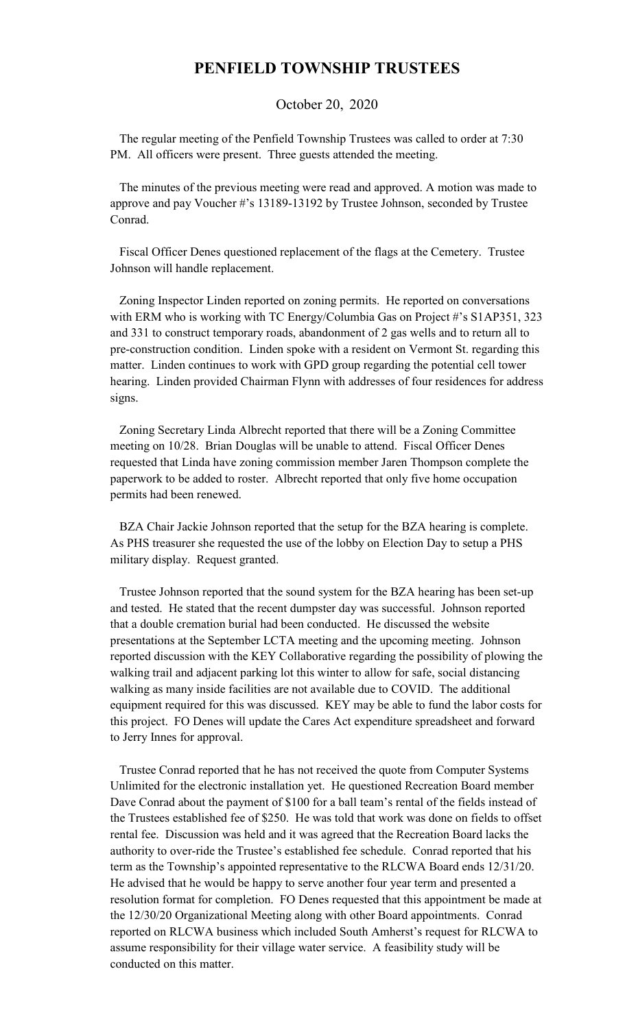## **PENFIELD TOWNSHIP TRUSTEES**

October 20, 2020

 The regular meeting of the Penfield Township Trustees was called to order at 7:30 PM. All officers were present. Three guests attended the meeting.

 The minutes of the previous meeting were read and approved. A motion was made to approve and pay Voucher #'s 13189-13192 by Trustee Johnson, seconded by Trustee Conrad.

 Fiscal Officer Denes questioned replacement of the flags at the Cemetery. Trustee Johnson will handle replacement.

 Zoning Inspector Linden reported on zoning permits. He reported on conversations with ERM who is working with TC Energy/Columbia Gas on Project #'s S1AP351, 323 and 331 to construct temporary roads, abandonment of 2 gas wells and to return all to pre-construction condition. Linden spoke with a resident on Vermont St. regarding this matter. Linden continues to work with GPD group regarding the potential cell tower hearing. Linden provided Chairman Flynn with addresses of four residences for address signs.

 Zoning Secretary Linda Albrecht reported that there will be a Zoning Committee meeting on 10/28. Brian Douglas will be unable to attend. Fiscal Officer Denes requested that Linda have zoning commission member Jaren Thompson complete the paperwork to be added to roster. Albrecht reported that only five home occupation permits had been renewed.

 BZA Chair Jackie Johnson reported that the setup for the BZA hearing is complete. As PHS treasurer she requested the use of the lobby on Election Day to setup a PHS military display. Request granted.

 Trustee Johnson reported that the sound system for the BZA hearing has been set-up and tested. He stated that the recent dumpster day was successful. Johnson reported that a double cremation burial had been conducted. He discussed the website presentations at the September LCTA meeting and the upcoming meeting. Johnson reported discussion with the KEY Collaborative regarding the possibility of plowing the walking trail and adjacent parking lot this winter to allow for safe, social distancing walking as many inside facilities are not available due to COVID. The additional equipment required for this was discussed. KEY may be able to fund the labor costs for this project. FO Denes will update the Cares Act expenditure spreadsheet and forward to Jerry Innes for approval.

 Trustee Conrad reported that he has not received the quote from Computer Systems Unlimited for the electronic installation yet. He questioned Recreation Board member Dave Conrad about the payment of \$100 for a ball team's rental of the fields instead of the Trustees established fee of \$250. He was told that work was done on fields to offset rental fee. Discussion was held and it was agreed that the Recreation Board lacks the authority to over-ride the Trustee's established fee schedule. Conrad reported that his term as the Township's appointed representative to the RLCWA Board ends 12/31/20. He advised that he would be happy to serve another four year term and presented a resolution format for completion. FO Denes requested that this appointment be made at the 12/30/20 Organizational Meeting along with other Board appointments. Conrad reported on RLCWA business which included South Amherst's request for RLCWA to assume responsibility for their village water service. A feasibility study will be conducted on this matter.